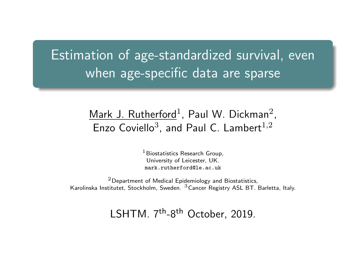# <span id="page-0-0"></span>Estimation of age-standardized survival, even when age-specific data are sparse

#### $\mathsf{Mark}\,$  J.  $\mathsf{Rutherford}^1$ , Paul W. Dickman $^2$ , Enzo Coviello<sup>3</sup>, and Paul C. Lambert<sup>1,2</sup>

 $<sup>1</sup>$  Biostatistics Research Group.</sup> University of Leicester, UK. mark rutherford@le ac.uk

<sup>2</sup>Department of Medical Epidemiology and Biostatistics, Karolinska Institutet, Stockholm, Sweden. <sup>3</sup>Cancer Registry ASL BT. Barletta, Italy.

1 SHTM. 7<sup>th</sup>-8<sup>th</sup> October, 2019.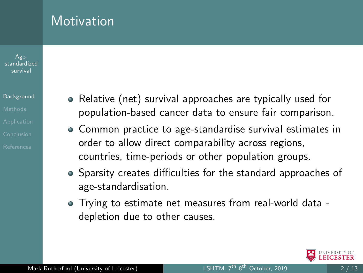#### Age[standardized](#page-0-0) survival

#### [Background](#page-1-0)

<span id="page-1-0"></span>**Motivation** 

- Relative (net) survival approaches are typically used for population-based cancer data to ensure fair comparison.
- Common practice to age-standardise survival estimates in order to allow direct comparability across regions, countries, time-periods or other population groups.
- Sparsity creates difficulties for the standard approaches of age-standardisation.
- Trying to estimate net measures from real-world data depletion due to other causes.

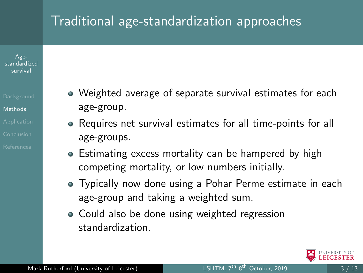### <span id="page-2-0"></span>Traditional age-standardization approaches

Age[standardized](#page-0-0) survival

- 
- [Methods](#page-2-0)
- 
- Weighted average of separate survival estimates for each age-group.
- Requires net survival estimates for all time-points for all age-groups.
- Estimating excess mortality can be hampered by high competing mortality, or low numbers initially.
- Typically now done using a Pohar Perme estimate in each age-group and taking a weighted sum.
- Could also be done using weighted regression standardization.

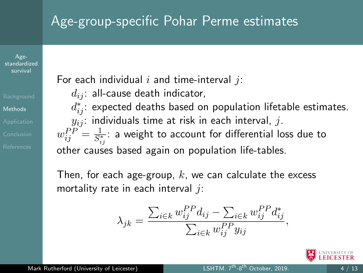## Age-group-specific Pohar Perme estimates

Age[standardized](#page-0-0) survival

[Methods](#page-2-0)

For each individual  $i$  and time-interval  $i$ :

 $d_{ij}$ : all-cause death indicator,

 $d_{ij}^{\ast}$ : expected deaths based on population lifetable estimates.  $y_{ij}$ : individuals time at risk in each interval, j.

 $w^{PP}_{ij} = \frac{1}{S^*_i}$  $\frac{1}{S_{ij}^*}$ : a weight to account for differential loss due to other causes based again on population life-tables.

Then, for each age-group,  $k$ , we can calculate the excess mortality rate in each interval  $i$ :

$$
\lambda_{jk} = \frac{\sum_{i \in k} w_{ij}^{PP} d_{ij} - \sum_{i \in k} w_{ij}^{PP} d_{ij}^*}{\sum_{i \in k} w_{ij}^{PP} y_{ij}},
$$

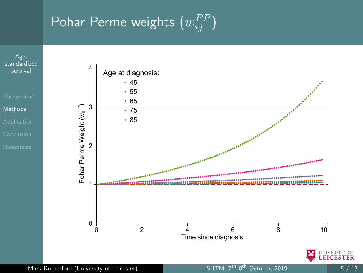# Pohar Perme weights  $(w_{ij}^{PP})$

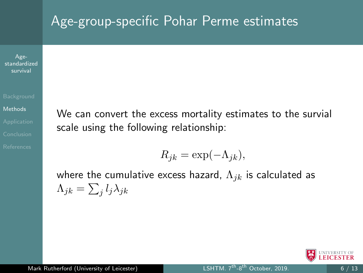#### Age-group-specific Pohar Perme estimates

Age[standardized](#page-0-0) survival

**[Methods](#page-2-0)** 

We can convert the excess mortality estimates to the survial scale using the following relationship:

$$
R_{jk} = \exp(-\Lambda_{jk}),
$$

where the cumulative excess hazard,  $\Lambda_{ik}$  is calculated as  $\Lambda_{jk}=\sum_jl_j\lambda_{jk}$ 

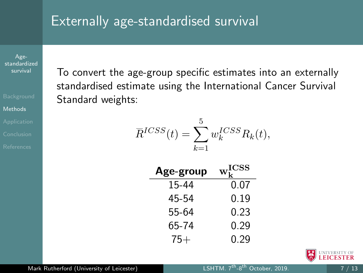### Externally age-standardised survival

Age[standardized](#page-0-0) survival

[Methods](#page-2-0)

To convert the age-group specific estimates into an externally standardised estimate using the International Cancer Survival Standard weights:

$$
\overline{R}^{ICSS}(t) = \sum_{k=1}^{5} w_k^{ICSS} R_k(t),
$$

| Age-group | $W_{L}^{ICSS}$ |
|-----------|----------------|
| 15-44     | 0.07           |
| 45-54     | 0.19           |
| 55-64     | 0.23           |
| 65-74     | 0.29           |
| 75+       | 0.29           |

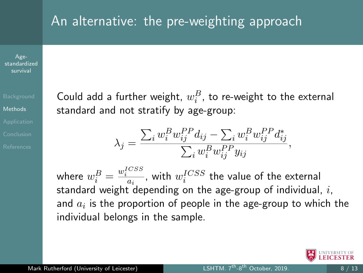#### An alternative: the pre-weighting approach

 $A\sigma$ e[standardized](#page-0-0) survival

[Methods](#page-2-0)

Could add a further weight,  $w_i^B$ , to re-weight to the external standard and not stratify by age-group:

$$
\lambda_j = \frac{\sum_i w_i^B w_{ij}^{PP} d_{ij} - \sum_i w_i^B w_{ij}^{PP} d_{ij}^*}{\sum_i w_i^B w_{ij}^{PP} y_{ij}},
$$

where  $w_i^B = \frac{w_i^{ICSS}}{a_i}$ , with  $w_i^{ICSS}$  the value of the external standard weight depending on the age-group of individual,  $i$ , and  $\overline{a}_i$  is the proportion of people in the age-group to which the individual belongs in the sample.

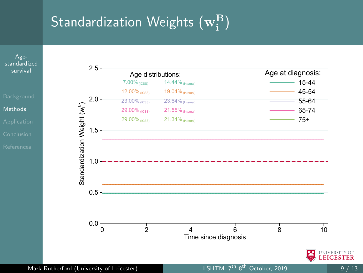# Standardization Weights  $\rm (w_i^B)$

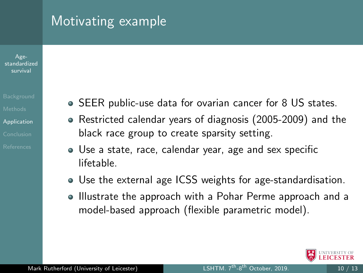#### <span id="page-9-0"></span>Motivating example

Age[standardized](#page-0-0) survival

[Application](#page-9-0)

- SEER public-use data for ovarian cancer for 8 US states.
- Restricted calendar years of diagnosis (2005-2009) and the black race group to create sparsity setting.
- Use a state, race, calendar year, age and sex specific lifetable.
- Use the external age ICSS weights for age-standardisation.
- Illustrate the approach with a Pohar Perme approach and a model-based approach (flexible parametric model).

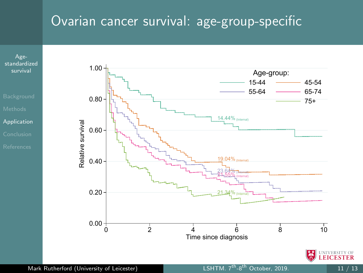### Ovarian cancer survival: age-group-specific



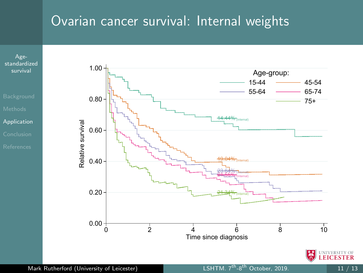#### Ovarian cancer survival: Internal weights

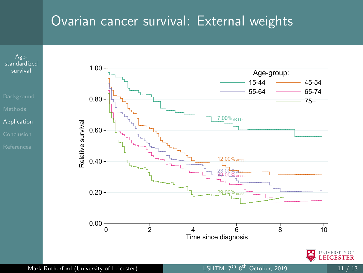#### Ovarian cancer survival: External weights



Mark Rutherford (University of Leicester) LSHTM. 7<sup>th</sup>-8<sup>th</sup> October, 2019. 11 / 13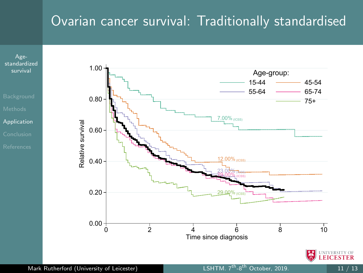#### Ovarian cancer survival: Traditionally standardised



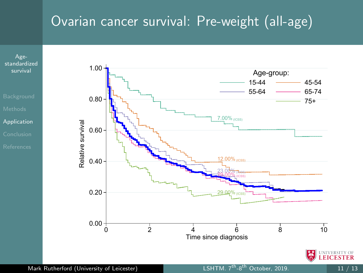## Ovarian cancer survival: Pre-weight (all-age)



Age-

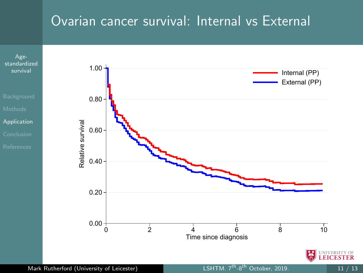### Ovarian cancer survival: Internal vs External

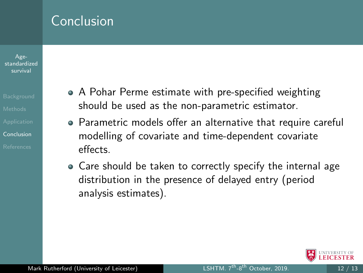#### <span id="page-16-0"></span>Conclusion

Age[standardized](#page-0-0) survival

[Conclusion](#page-16-0)

- A Pohar Perme estimate with pre-specified weighting should be used as the non-parametric estimator.
- Parametric models offer an alternative that require careful modelling of covariate and time-dependent covariate effects.
- Care should be taken to correctly specify the internal age distribution in the presence of delayed entry (period analysis estimates).